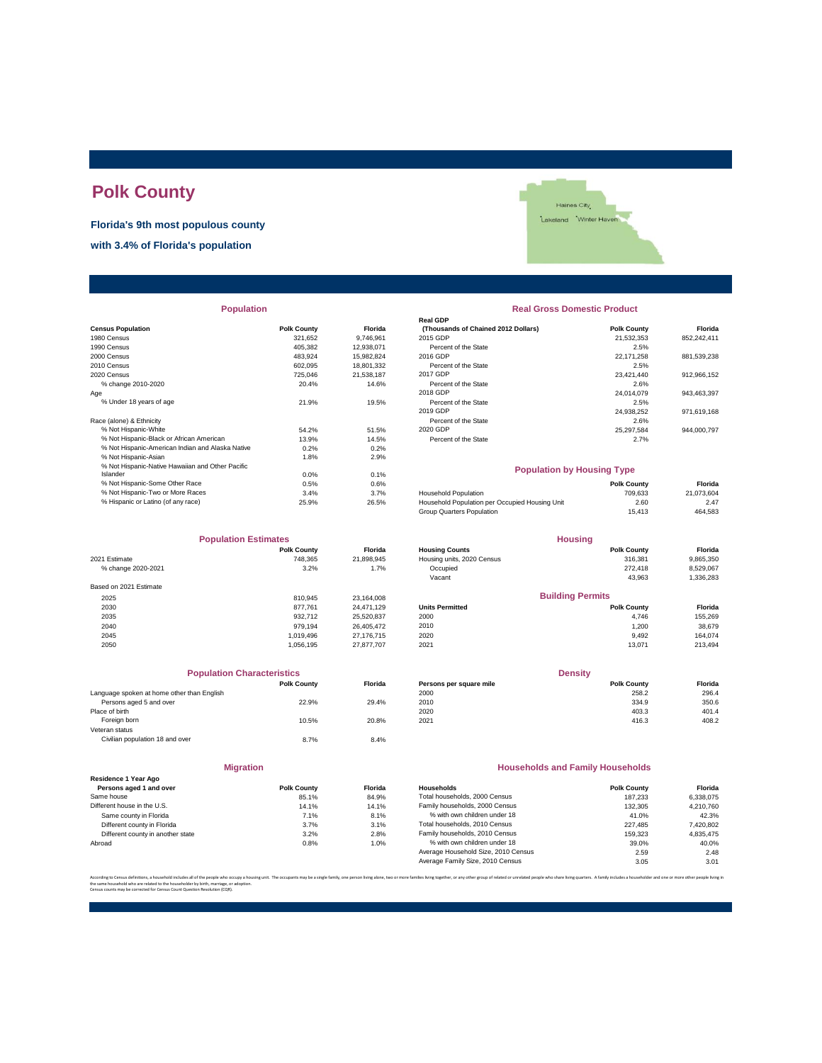# **Polk County**

**Florida's 9th most populous county**

**with 3.4% of Florida's population**



| <b>Population</b>                                |                    |                | <b>Real Gross Domestic Product</b>             |                    |             |  |
|--------------------------------------------------|--------------------|----------------|------------------------------------------------|--------------------|-------------|--|
|                                                  |                    |                | <b>Real GDP</b>                                |                    |             |  |
| <b>Census Population</b>                         | <b>Polk County</b> | <b>Florida</b> | (Thousands of Chained 2012 Dollars)            | <b>Polk County</b> | Florida     |  |
| 1980 Census                                      | 321,652            | 9,746,961      | 2015 GDP                                       | 21,532,353         | 852,242,411 |  |
| 1990 Census                                      | 405.382            | 12.938.071     | Percent of the State                           | 2.5%               |             |  |
| 2000 Census                                      | 483,924            | 15,982,824     | 2016 GDP                                       | 22,171,258         | 881,539,238 |  |
| 2010 Census                                      | 602,095            | 18,801,332     | Percent of the State                           | 2.5%               |             |  |
| 2020 Census                                      | 725,046            | 21,538,187     | 2017 GDP                                       | 23.421.440         | 912,966,152 |  |
| % change 2010-2020                               | 20.4%              | 14.6%          | Percent of the State                           | 2.6%               |             |  |
| Age                                              |                    |                | 2018 GDP                                       | 24,014,079         | 943,463,397 |  |
| % Under 18 years of age                          | 21.9%              | 19.5%          | Percent of the State                           | 2.5%               |             |  |
|                                                  |                    |                | 2019 GDP                                       | 24,938,252         | 971,619,168 |  |
| Race (alone) & Ethnicity                         |                    |                | Percent of the State                           | 2.6%               |             |  |
| % Not Hispanic-White                             | 54.2%              | 51.5%          | 2020 GDP                                       | 25,297,584         | 944,000,797 |  |
| % Not Hispanic-Black or African American         | 13.9%              | 14.5%          | Percent of the State                           | 2.7%               |             |  |
| % Not Hispanic-American Indian and Alaska Native | 0.2%               | 0.2%           |                                                |                    |             |  |
| % Not Hispanic-Asian                             | 1.8%               | 2.9%           |                                                |                    |             |  |
| % Not Hispanic-Native Hawaiian and Other Pacific |                    |                | <b>Population by Housing Type</b>              |                    |             |  |
| Islander                                         | 0.0%               | 0.1%           |                                                |                    |             |  |
| % Not Hispanic-Some Other Race                   | 0.5%               | 0.6%           |                                                | <b>Polk County</b> | Florida     |  |
| % Not Hispanic-Two or More Races                 | 3.4%               | 3.7%           | <b>Household Population</b>                    | 709,633            | 21,073,604  |  |
| % Hispanic or Latino (of any race)               | 25.9%              | 26.5%          | Household Population per Occupied Housing Unit | 2.60               | 2.47        |  |
|                                                  |                    |                |                                                |                    |             |  |

| <b>Population Estimates</b> |                    |                | <b>Housing</b>             |                         |           |
|-----------------------------|--------------------|----------------|----------------------------|-------------------------|-----------|
|                             | <b>Polk County</b> | <b>Florida</b> | <b>Housing Counts</b>      | <b>Polk County</b>      | Florida   |
| 2021 Estimate               | 748.365            | 21,898,945     | Housing units, 2020 Census | 316,381                 | 9,865,350 |
| % change 2020-2021          | 3.2%               | 1.7%           | Occupied                   | 272.418                 | 8,529,067 |
|                             |                    |                | Vacant                     | 43,963                  | 1,336,283 |
| Based on 2021 Estimate      |                    |                |                            |                         |           |
| 2025                        | 810.945            | 23,164,008     |                            | <b>Building Permits</b> |           |
| 2030                        | 877.761            | 24.471.129     | <b>Units Permitted</b>     | <b>Polk County</b>      | Florida   |
| 2035                        | 932.712            | 25,520,837     | 2000                       | 4,746                   | 155,269   |
| 2040                        | 979.194            | 26.405.472     | 2010                       | 1,200                   | 38,679    |
| 2045                        | 1.019.496          | 27,176,715     | 2020                       | 9,492                   | 164,074   |
| 2050                        | 1,056,195          | 27,877,707     | 2021                       | 13.071                  | 213,494   |

| <b>Population Characteristics</b>          |                    |                |
|--------------------------------------------|--------------------|----------------|
|                                            | <b>Polk County</b> | <b>Florida</b> |
| Language spoken at home other than English |                    |                |
| Persons aged 5 and over                    | 22.9%              | 29.4%          |
| Place of birth                             |                    |                |
| Foreign born                               | 10.5%              | 20.8%          |
| Veteran status                             |                    |                |
| Civilian population 18 and over            | 8.7%               | 8.4%           |
| <b>Migration</b>                           |                    |                |
|                                            |                    |                |

|                                   | 11111              |                |
|-----------------------------------|--------------------|----------------|
| Residence 1 Year Ago              |                    |                |
| Persons aged 1 and over           | <b>Polk County</b> | <b>Florid:</b> |
| Same house                        | 85.1%              | 84.9%          |
| Different house in the U.S.       | 14.1%              | 14.19          |
| Same county in Florida            | 7.1%               | 8.1%           |
| Different county in Florida       | 3.7%               | 3.1%           |
| Different county in another state | 3.2%               | 2.8%           |
| Abroad                            | 0.8%               | 1.0%           |
|                                   |                    |                |

| <b>Population</b> |                    |                | <b>Real Gross Domestic Product</b>  |                                   |             |  |  |  |
|-------------------|--------------------|----------------|-------------------------------------|-----------------------------------|-------------|--|--|--|
|                   |                    |                | <b>Real GDP</b>                     |                                   |             |  |  |  |
|                   | <b>Polk County</b> | <b>Florida</b> | (Thousands of Chained 2012 Dollars) | <b>Polk County</b>                | Florida     |  |  |  |
|                   | 321,652            | 9,746,961      | 2015 GDP                            | 21,532,353                        | 852,242,411 |  |  |  |
|                   | 405.382            | 12,938,071     | Percent of the State                | 2.5%                              |             |  |  |  |
|                   | 483.924            | 15,982,824     | 2016 GDP                            | 22,171,258                        | 881,539,238 |  |  |  |
|                   | 602,095            | 18,801,332     | Percent of the State                | 2.5%                              |             |  |  |  |
|                   | 725.046            | 21,538,187     | 2017 GDP                            | 23,421,440                        | 912,966,152 |  |  |  |
|                   | 20.4%              | 14.6%          | Percent of the State                | 2.6%                              |             |  |  |  |
|                   |                    |                | 2018 GDP                            | 24.014.079                        | 943,463,397 |  |  |  |
|                   | 21.9%              | 19.5%          | Percent of the State                | 2.5%                              |             |  |  |  |
|                   |                    |                | 2019 GDP                            | 24,938,252                        | 971,619,168 |  |  |  |
|                   |                    |                | Percent of the State                | 2.6%                              |             |  |  |  |
|                   | 54.2%              | 51.5%          | 2020 GDP                            | 25.297.584                        | 944,000,797 |  |  |  |
| n                 | 13.9%              | 14.5%          | Percent of the State                | 2.7%                              |             |  |  |  |
| ska Native        | 0.2%               | 0.2%           |                                     |                                   |             |  |  |  |
|                   | 1.8%               | 2.9%           |                                     |                                   |             |  |  |  |
| er Pacific        |                    |                |                                     | <b>Population by Housing Type</b> |             |  |  |  |
|                   | 0.0%               | 0.1%           |                                     |                                   |             |  |  |  |

| % Not Hispanic-Some Other Race     | $0.5\%$ | 0.6%  |                                                | <b>Polk County</b> | Florida    |
|------------------------------------|---------|-------|------------------------------------------------|--------------------|------------|
| % Not Hispanic-Two or More Races   | 3.4%    | 3.7%  | <b>Household Population</b>                    | 709.633            | 21.073.604 |
| % Hispanic or Latino (of any race) | 25.9%   | 26.5% | Household Population per Occupied Housing Unit | 2.60               | 2.47       |
|                                    |         |       | Group Quarters Population                      | 15.413             | 464.583    |
|                                    |         |       |                                                |                    |            |

| <b>Population Estimates</b> |                    |                | <b>Housing</b>             |                         |           |
|-----------------------------|--------------------|----------------|----------------------------|-------------------------|-----------|
|                             | <b>Polk County</b> | <b>Florida</b> | <b>Housing Counts</b>      | <b>Polk County</b>      | Florida   |
| 2021 Estimate               | 748.365            | 21,898,945     | Housing units, 2020 Census | 316,381                 | 9,865,350 |
| % change 2020-2021          | 3.2%               | 1.7%           | Occupied                   | 272,418                 | 8,529,067 |
|                             |                    |                | Vacant                     | 43.963                  | 1,336,283 |
| Based on 2021 Estimate      |                    |                |                            |                         |           |
| 2025                        | 810.945            | 23.164.008     |                            | <b>Building Permits</b> |           |
| 2030                        | 877.761            | 24.471.129     | <b>Units Permitted</b>     | <b>Polk County</b>      | Florida   |
| 2035                        | 932.712            | 25,520,837     | 2000                       | 4.746                   | 155.269   |
| 2040                        | 979.194            | 26.405.472     | 2010                       | 1.200                   | 38,679    |
| <b>2045</b>                 | 1 010 406          | 27 176 715     | 2020                       | 0.402                   | 161071    |

| <b>Population Characteristics</b>                               | <b>Density</b>     |                |  |
|-----------------------------------------------------------------|--------------------|----------------|--|
| <b>Polk County</b><br><b>Florida</b><br>Persons per square mile | <b>Polk County</b> | <b>Florida</b> |  |
| Language spoken at home other than English<br>2000              | 258.2              | 296.4          |  |
| Persons aged 5 and over<br>2010<br>22.9%<br>29.4%               | 334.9              | 350.6          |  |
| Place of birth<br>2020                                          | 403.3              | 401.4          |  |
| Foreign born<br>10.5%<br>2021<br>20.8%                          | 416.3              | 408.2          |  |

### **Households and Family Households**

| Residence 1 Year Ago              |                    |                |                                     |                    |           |
|-----------------------------------|--------------------|----------------|-------------------------------------|--------------------|-----------|
| Persons aged 1 and over           | <b>Polk County</b> | <b>Florida</b> | Households                          | <b>Polk County</b> | Florida   |
| Same house                        | 85.1%              | 84.9%          | Total households, 2000 Census       | 187.233            | 6.338.075 |
| Different house in the U.S.       | 14.1%              | 14.1%          | Family households, 2000 Census      | 132.305            | 4.210.760 |
| Same county in Florida            | 7.1%               | 8.1%           | % with own children under 18        | 41.0%              | 42.3%     |
| Different county in Florida       | 3.7%               | 3.1%           | Total households, 2010 Census       | 227.485            | 7,420,802 |
| Different county in another state | 3.2%               | 2.8%           | Family households, 2010 Census      | 159,323            | 4.835.475 |
| Abroad                            | 0.8%               | 1.0%           | % with own children under 18        | 39.0%              | 40.0%     |
|                                   |                    |                | Average Household Size, 2010 Census | 2.59               | 2.48      |
|                                   |                    |                | Average Family Size, 2010 Census    | 3.05               | 3.01      |
|                                   |                    |                |                                     |                    |           |

According to Census definitions, a household includes all of the people who occupy a housing unit. The occupants may be a single family, one person living back, two or more families living together, or any other group of r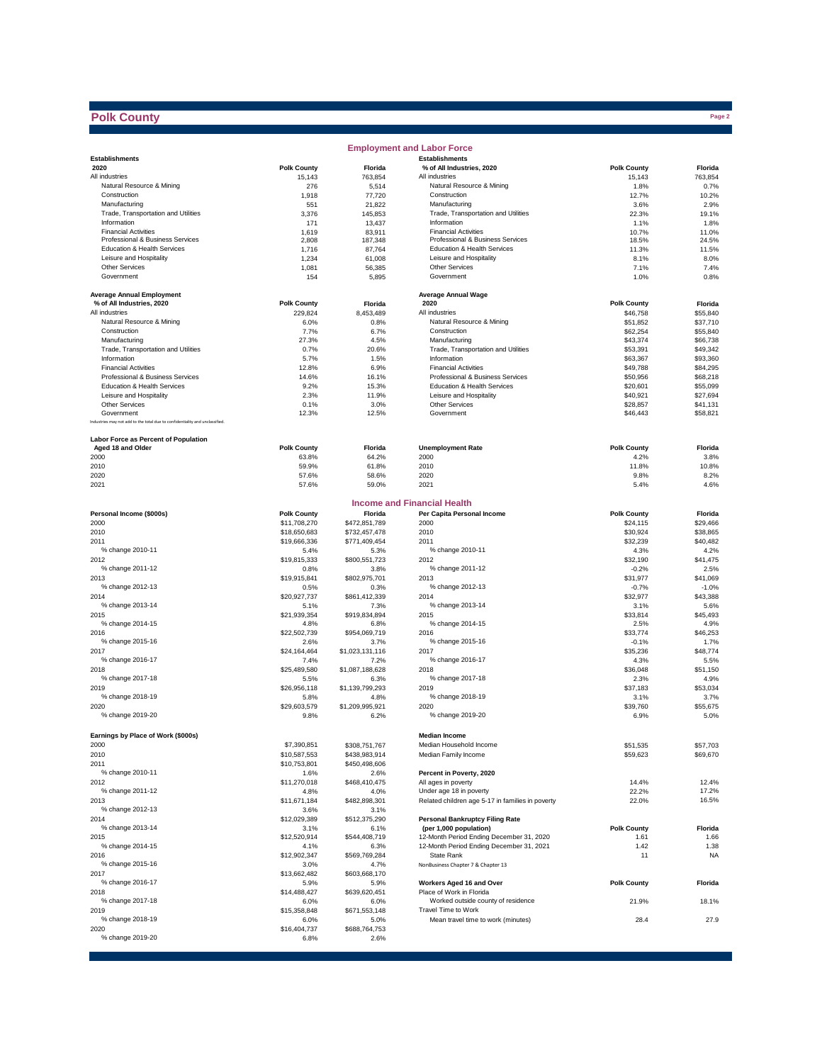## **Polk County**

|                                                                              |                      |                                | <b>Employment and Labor Force</b>                    |                      |                  |
|------------------------------------------------------------------------------|----------------------|--------------------------------|------------------------------------------------------|----------------------|------------------|
| <b>Establishments</b>                                                        |                      |                                | <b>Establishments</b>                                |                      |                  |
| 2020                                                                         | <b>Polk County</b>   | Florida                        | % of All Industries, 2020                            | <b>Polk County</b>   | Florida          |
| All industries                                                               | 15,143               | 763,854                        | All industries                                       | 15,143               | 763,854          |
| Natural Resource & Mining                                                    | 276                  | 5,514                          | Natural Resource & Mining                            | 1.8%                 | 0.7%             |
| Construction                                                                 | 1,918                | 77,720                         | Construction                                         | 12.7%                | 10.2%            |
| Manufacturing<br>Trade, Transportation and Utilities                         | 551                  | 21,822                         | Manufacturing<br>Trade, Transportation and Utilities | 3.6%                 | 2.9%             |
| Information                                                                  | 3,376<br>171         | 145,853<br>13,437              | Information                                          | 22.3%<br>1.1%        | 19.1%<br>1.8%    |
| <b>Financial Activities</b>                                                  | 1,619                | 83,911                         | <b>Financial Activities</b>                          | 10.7%                | 11.0%            |
| Professional & Business Services                                             | 2,808                | 187,348                        | Professional & Business Services                     | 18.5%                | 24.5%            |
| Education & Health Services                                                  | 1,716                | 87,764                         | Education & Health Services                          | 11.3%                | 11.5%            |
| Leisure and Hospitality                                                      | 1,234                | 61,008                         | Leisure and Hospitality                              | 8.1%                 | 8.0%             |
| Other Services                                                               | 1,081                | 56,385                         | Other Services                                       | 7.1%                 | 7.4%             |
| Government                                                                   | 154                  | 5,895                          | Government                                           | 1.0%                 | 0.8%             |
|                                                                              |                      |                                |                                                      |                      |                  |
| <b>Average Annual Employment</b>                                             |                      |                                | <b>Average Annual Wage</b>                           |                      |                  |
| % of All Industries, 2020                                                    | <b>Polk County</b>   | Florida                        | 2020                                                 | <b>Polk County</b>   | Florida          |
| All industries                                                               | 229,824              | 8,453,489                      | All industries                                       | \$46,758             | \$55.840         |
| Natural Resource & Mining                                                    | 6.0%                 | 0.8%                           | Natural Resource & Mining                            | \$51,852             | \$37,710         |
| Construction                                                                 | 7.7%                 | 6.7%                           | Construction                                         | \$62,254             | \$55,840         |
| Manufacturing                                                                | 27.3%                | 4.5%                           | Manufacturing                                        | \$43,374             | \$66,738         |
| Trade, Transportation and Utilities                                          | 0.7%                 | 20.6%                          | Trade, Transportation and Utilities                  | \$53,391             | \$49,342         |
| Information                                                                  | 5.7%                 | 1.5%                           | Information                                          | \$63,367             | \$93,360         |
| <b>Financial Activities</b>                                                  | 12.8%                | 6.9%                           | <b>Financial Activities</b>                          | \$49,788             | \$84,295         |
| Professional & Business Services                                             | 14.6%                | 16.1%                          | Professional & Business Services                     | \$50,956             | \$68,218         |
| Education & Health Services                                                  | 9.2%                 | 15.3%                          | Education & Health Services                          | \$20,601             | \$55,099         |
| Leisure and Hospitality                                                      | 2.3%                 | 11.9%                          | Leisure and Hospitality                              | \$40.921             | \$27,694         |
| <b>Other Services</b><br>Government                                          | 0.1%                 | 3.0%                           | Other Services<br>Government                         | \$28,857             | \$41,131         |
| Industries may not add to the total due to confidentiality and unclassified. | 12.3%                | 12.5%                          |                                                      | \$46,443             | \$58,821         |
|                                                                              |                      |                                |                                                      |                      |                  |
| Labor Force as Percent of Population                                         |                      |                                |                                                      |                      |                  |
| Aged 18 and Older                                                            | <b>Polk County</b>   | Florida                        | <b>Unemployment Rate</b>                             | <b>Polk County</b>   | Florida          |
| 2000                                                                         | 63.8%                | 64.2%                          | 2000                                                 | 4.2%                 | 3.8%             |
| 2010                                                                         | 59.9%                | 61.8%                          | 2010                                                 | 11.8%                | 10.8%            |
| 2020                                                                         | 57.6%                | 58.6%                          | 2020                                                 | 9.8%                 | 8.2%             |
| 2021                                                                         | 57.6%                | 59.0%                          | 2021                                                 | 5.4%                 | 4.6%             |
|                                                                              |                      |                                |                                                      |                      |                  |
|                                                                              |                      |                                | <b>Income and Financial Health</b>                   |                      |                  |
| Personal Income (\$000s)                                                     | <b>Polk County</b>   | Florida                        | Per Capita Personal Income                           | <b>Polk County</b>   | Florida          |
| 2000                                                                         | \$11,708,270         | \$472,851,789                  | 2000                                                 | \$24,115             | \$29,466         |
| 2010                                                                         | \$18,650,683         | \$732,457,478                  | 2010                                                 | \$30,924             | \$38,865         |
| 2011                                                                         | \$19,666,336         | \$771,409,454                  | 2011                                                 | \$32,239             | \$40,482         |
| % change 2010-11                                                             | 5.4%                 | 5.3%                           | % change 2010-11                                     | 4.3%                 | 4.2%             |
| 2012                                                                         | \$19,815,333         | \$800,551,723                  | 2012                                                 | \$32,190             | \$41,475         |
| % change 2011-12                                                             | 0.8%                 | 3.8%                           | % change 2011-12                                     | $-0.2%$              | 2.5%             |
| 2013                                                                         | \$19,915,841         | \$802,975,701                  | 2013                                                 | \$31,977             | \$41,069         |
| % change 2012-13                                                             | 0.5%                 | 0.3%                           | % change 2012-13                                     | $-0.7%$              | $-1.0%$          |
| 2014                                                                         | \$20,927,737         | \$861,412,339                  | 2014                                                 | \$32,977             | \$43,388         |
| % change 2013-14                                                             | 5.1%                 | 7.3%                           | % change 2013-14                                     | 3.1%                 | 5.6%             |
| 2015                                                                         | \$21,939,354         | \$919,834,894                  | 2015                                                 | \$33,814             | \$45,493         |
| % change 2014-15                                                             | 4.8%                 | 6.8%                           | % change 2014-15                                     | 2.5%                 | 4.9%             |
| 2016                                                                         | \$22,502,739         | \$954,069,719                  | 2016                                                 | \$33,774             | \$46,253         |
| % change 2015-16                                                             | 2.6%                 | 3.7%                           | % change 2015-16                                     | $-0.1%$              | 1.7%             |
| 2017                                                                         | \$24,164,464         | \$1,023,131,116                | 2017                                                 | \$35,236             | \$48,774         |
| % change 2016-17                                                             | 7.4%                 | 7.2%                           | % change 2016-17                                     | 4.3%                 | 5.5%             |
| 2018                                                                         | \$25,489,580         | \$1,087,188,628                | 2018                                                 | \$36,048             | \$51,150         |
| % change 2017-18                                                             | 5.5%<br>\$26,956,118 | 6.3%<br>\$1,139,799,293        | % change 2017-18<br>2019                             | 2.3%<br>\$37,183     | 4.9%<br>\$53,034 |
| 2019<br>% change 2018-19                                                     | 5.8%                 | 4.8%                           | % change 2018-19                                     | 3.1%                 | 3.7%             |
| 2020                                                                         | \$29,603,579         | \$1,209,995,921                | 2020                                                 | \$39,760             | \$55,675         |
| % change 2019-20                                                             | 9.8%                 | 6.2%                           | % change 2019-20                                     | 6.9%                 | 5.0%             |
|                                                                              |                      |                                |                                                      |                      |                  |
| Earnings by Place of Work (\$000s)                                           |                      |                                | <b>Median Income</b>                                 |                      |                  |
| 2000                                                                         | \$7,390,851          |                                | Median Household Income                              |                      | \$57,703         |
| 2010                                                                         | \$10,587,553         | \$308,751,767<br>\$438,983,914 | Median Family Income                                 | \$51,535<br>\$59,623 | \$69,670         |
| 2011                                                                         | \$10,753,801         | \$450,498,606                  |                                                      |                      |                  |
| % change 2010-11                                                             | 1.6%                 | 2.6%                           | Percent in Poverty, 2020                             |                      |                  |
| 2012                                                                         | \$11,270,018         | \$468,410,475                  | All ages in poverty                                  | 14.4%                | 12.4%            |
| % change 2011-12                                                             | 4.8%                 | 4.0%                           | Under age 18 in poverty                              | 22.2%                | 17.2%            |
| 2013                                                                         | \$11,671,184         | \$482,898,301                  | Related children age 5-17 in families in poverty     | 22.0%                | 16.5%            |
| % change 2012-13                                                             | 3.6%                 | 3.1%                           |                                                      |                      |                  |
| 2014                                                                         | \$12,029,389         | \$512,375,290                  | <b>Personal Bankruptcy Filing Rate</b>               |                      |                  |
| % change 2013-14                                                             | 3.1%                 | 6.1%                           | (per 1,000 population)                               | <b>Polk County</b>   | Florida          |
| 2015                                                                         | \$12,520,914         | \$544,408,719                  | 12-Month Period Ending December 31, 2020             | 1.61                 | 1.66             |
| % change 2014-15                                                             | 4.1%                 | 6.3%                           | 12-Month Period Ending December 31, 2021             | 1.42                 | 1.38             |
| 2016                                                                         | \$12,902,347         | \$569,769,284                  | State Rank                                           | 11                   | <b>NA</b>        |
| % change 2015-16                                                             | 3.0%                 | 4.7%                           | NonBusiness Chapter 7 & Chapter 13                   |                      |                  |
| 2017                                                                         | \$13,662,482         | \$603,668,170                  |                                                      |                      |                  |
| % change 2016-17                                                             | 5.9%                 | 5.9%                           | Workers Aged 16 and Over                             | <b>Polk County</b>   | Florida          |
| 2018                                                                         | \$14,488,427         | \$639,620,451                  | Place of Work in Florida                             |                      |                  |
| % change 2017-18                                                             | 6.0%                 | 6.0%                           | Worked outside county of residence                   | 21.9%                | 18.1%            |
| 2019                                                                         | \$15,358,848         | \$671,553,148                  | Travel Time to Work                                  |                      |                  |
| % change 2018-19                                                             | 6.0%                 | 5.0%                           | Mean travel time to work (minutes)                   | 28.4                 | 27.9             |
| 2020                                                                         | \$16,404,737         | \$688,764,753                  |                                                      |                      |                  |
| % change 2019-20                                                             | 6.8%                 | 2.6%                           |                                                      |                      |                  |